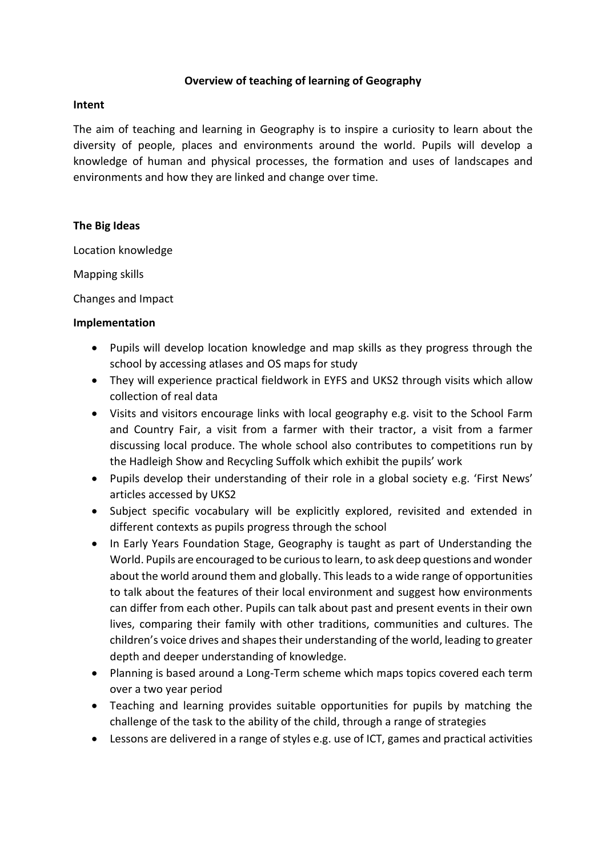# **Overview of teaching of learning of Geography**

## **Intent**

The aim of teaching and learning in Geography is to inspire a curiosity to learn about the diversity of people, places and environments around the world. Pupils will develop a knowledge of human and physical processes, the formation and uses of landscapes and environments and how they are linked and change over time.

## **The Big Ideas**

Location knowledge

Mapping skills

Changes and Impact

## **Implementation**

- Pupils will develop location knowledge and map skills as they progress through the school by accessing atlases and OS maps for study
- They will experience practical fieldwork in EYFS and UKS2 through visits which allow collection of real data
- Visits and visitors encourage links with local geography e.g. visit to the School Farm and Country Fair, a visit from a farmer with their tractor, a visit from a farmer discussing local produce. The whole school also contributes to competitions run by the Hadleigh Show and Recycling Suffolk which exhibit the pupils' work
- Pupils develop their understanding of their role in a global society e.g. 'First News' articles accessed by UKS2
- Subject specific vocabulary will be explicitly explored, revisited and extended in different contexts as pupils progress through the school
- In Early Years Foundation Stage, Geography is taught as part of Understanding the World. Pupils are encouraged to be curious to learn, to ask deep questions and wonder about the world around them and globally. This leads to a wide range of opportunities to talk about the features of their local environment and suggest how environments can differ from each other. Pupils can talk about past and present events in their own lives, comparing their family with other traditions, communities and cultures. The children's voice drives and shapes their understanding of the world, leading to greater depth and deeper understanding of knowledge.
- Planning is based around a Long-Term scheme which maps topics covered each term over a two year period
- Teaching and learning provides suitable opportunities for pupils by matching the challenge of the task to the ability of the child, through a range of strategies
- Lessons are delivered in a range of styles e.g. use of ICT, games and practical activities